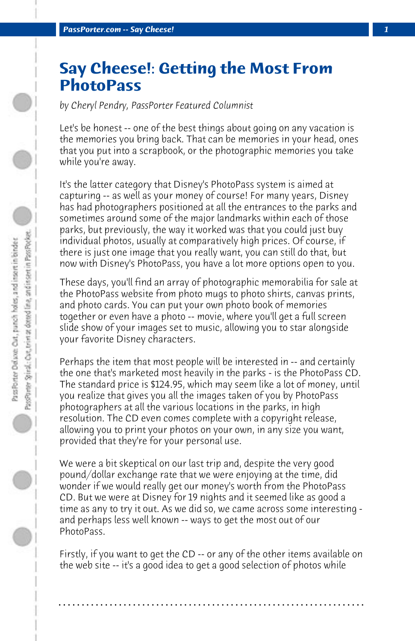## **Say Cheese!: Getting the Most From PhotoPass**

*by Cheryl Pendry, PassPorter Featured Columnist*

Let's be honest -- one of the best things about going on any vacation is the memories you bring back. That can be memories in your head, ones that you put into a scrapbook, or the photographic memories you take while you're away.

It's the latter category that Disney's PhotoPass system is aimed at capturing -- as well as your money of course! For many years, Disney has had photographers positioned at all the entrances to the parks and sometimes around some of the major landmarks within each of those parks, but previously, the way it worked was that you could just buy individual photos, usually at comparatively high prices. Of course, if there is just one image that you really want, you can still do that, but now with Disney's PhotoPass, you have a lot more options open to you.

These days, you'll find an array of photographic memorabilia for sale at the PhotoPass website from photo mugs to photo shirts, canvas prints, and photo cards. You can put your own photo book of memories together or even have a photo -- movie, where you'll get a full screen slide show of your images set to music, allowing you to star alongside your favorite Disney characters.

Perhaps the item that most people will be interested in -- and certainly the one that's marketed most heavily in the parks - is the PhotoPass CD. The standard price is \$124.95, which may seem like a lot of money, until you realize that gives you all the images taken of you by PhotoPass photographers at all the various locations in the parks, in high resolution. The CD even comes complete with a copyright release, allowing you to print your photos on your own, in any size you want, provided that they're for your personal use.

We were a bit skeptical on our last trip and, despite the very good pound/dollar exchange rate that we were enjoying at the time, did wonder if we would really get our money's worth from the PhotoPass CD. But we were at Disney for 19 nights and it seemed like as good a time as any to try it out. As we did so, we came across some interesting and perhaps less well known -- ways to get the most out of our PhotoPass.

Firstly, if you want to get the CD -- or any of the other items available on the web site -- it's a good idea to get a good selection of photos while

**. . . . . . . . . . . . . . . . . . . . . . . . . . . . . . . . . . . . . . . . . . . . . . . . . . . . . . . . . . . . . . . . . .**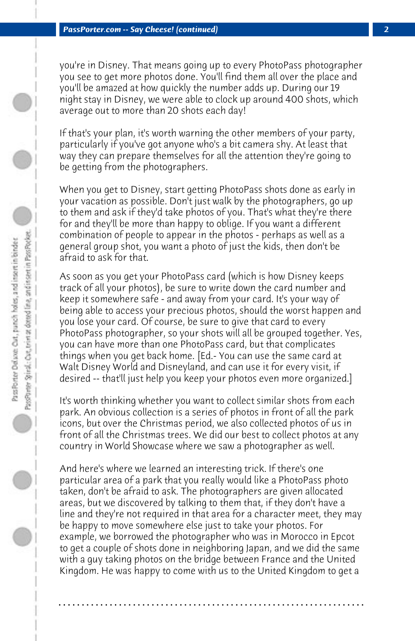you're in Disney. That means going up to every PhotoPass photographer you see to get more photos done. You'll find them all over the place and you'll be amazed at how quickly the number adds up. During our 19 night stay in Disney, we were able to clock up around 400 shots, which average out to more than 20 shots each day!

If that's your plan, it's worth warning the other members of your party, particularly if you've got anyone who's a bit camera shy. At least that way they can prepare themselves for all the attention they're going to be getting from the photographers.

When you get to Disney, start getting PhotoPass shots done as early in your vacation as possible. Don't just walk by the photographers, go up to them and ask if they'd take photos of you. That's what they're there for and they'll be more than happy to oblige. If you want a different combination of people to appear in the photos - perhaps as well as a general group shot, you want a photo of just the kids, then don't be afraid to ask for that.

As soon as you get your PhotoPass card (which is how Disney keeps track of all your photos), be sure to write down the card number and keep it somewhere safe - and away from your card. It's your way of being able to access your precious photos, should the worst happen and you lose your card. Of course, be sure to give that card to every PhotoPass photographer, so your shots will all be grouped together. Yes, you can have more than one PhotoPass card, but that complicates things when you get back home. [Ed.- You can use the same card at Walt Disney World and Disneyland, and can use it for every visit, if desired -- that'll just help you keep your photos even more organized.]

It's worth thinking whether you want to collect similar shots from each park. An obvious collection is a series of photos in front of all the park icons, but over the Christmas period, we also collected photos of us in front of all the Christmas trees. We did our best to collect photos at any country in World Showcase where we saw a photographer as well.

And here's where we learned an interesting trick. If there's one particular area of a park that you really would like a PhotoPass photo taken, don't be afraid to ask. The photographers are given allocated areas, but we discovered by talking to them that, if they don't have a line and they're not required in that area for a character meet, they may be happy to move somewhere else just to take your photos. For example, we borrowed the photographer who was in Morocco in Epcot to get a couple of shots done in neighboring Japan, and we did the same with a guy taking photos on the bridge between France and the United Kingdom. He was happy to come with us to the United Kingdom to get a

**. . . . . . . . . . . . . . . . . . . . . . . . . . . . . . . . . . . . . . . . . . . . . . . . . . . . . . . . . . . . . . . . . .**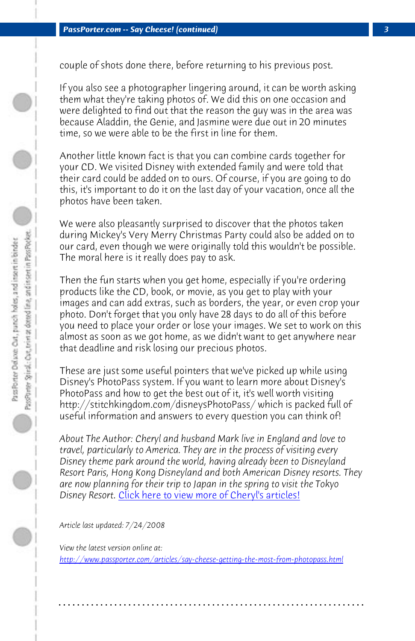couple of shots done there, before returning to his previous post.

If you also see a photographer lingering around, it can be worth asking them what they're taking photos of. We did this on one occasion and were delighted to find out that the reason the guy was in the area was because Aladdin, the Genie, and Jasmine were due out in 20 minutes time, so we were able to be the first in line for them.

Another little known fact is that you can combine cards together for your CD. We visited Disney with extended family and were told that their card could be added on to ours. Of course, if you are going to do this, it's important to do it on the last day of your vacation, once all the photos have been taken.

We were also pleasantly surprised to discover that the photos taken during Mickey's Very Merry Christmas Party could also be added on to our card, even though we were originally told this wouldn't be possible. The moral here is it really does pay to ask.

Then the fun starts when you get home, especially if you're ordering products like the CD, book, or movie, as you get to play with your images and c[an add extras, such as borders, the year, or e](http://www.passporter.com/articles/cheryl-pendry-featured-columnist.asp)ven crop your photo. Don't forget that you only have 28 days to do all of this before you need to place your order or lose your images. We set to work on this almost as soon as we got home, as we didn't want to get anywhere near that deadline and risk losing our precious photos.

[These are just some useful pointers that we've picked up while using](http://www.passporter.com/articles/say-cheese-getting-the-most-from-photopass.php) Disney's PhotoPass system. If you want to learn more about Disney's PhotoPass and how to get the best out of it, it's well worth visiting http://stitchkingdom.com/disneysPhotoPass/ which is packed full of useful information and answers to every question you can think of!

*About The Author: Cheryl and husband Mark live in England and love to travel, particularly to America. They are in the process of visiting every Disney theme park around the world, having already been to Disneyland Resort Paris, Hong Kong Disneyland and both American Disney resorts. They are now planning for their trip to Japan in the spring to visit the Tokyo Disney Resort.* Click here to view more of Cheryl's articles!

*Article last updated: 7/24/2008*

*View the latest version online at: http://www.passporter.com/articles/say-cheese-getting-the-most-from-photopass.html*

**. . . . . . . . . . . . . . . . . . . . . . . . . . . . . . . . . . . . . . . . . . . . . . . . . . . . . . . . . . . . . . . . . .**